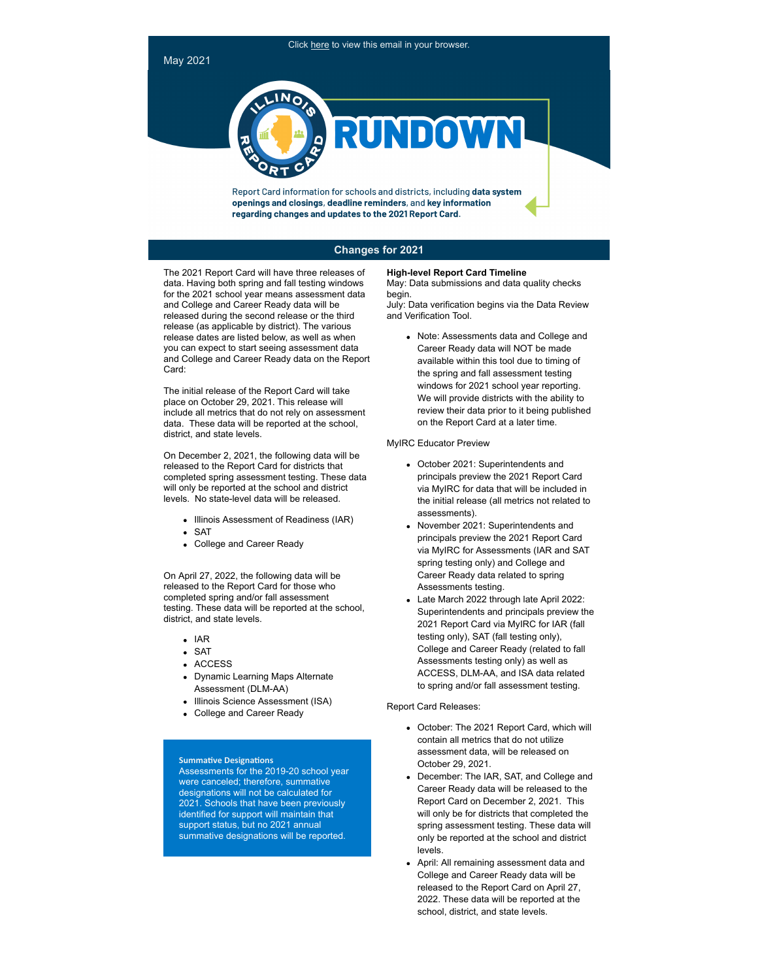May 2021



Report Card information for schools and districts, including data system openings and closings, deadline reminders, and key information regarding changes and updates to the 2021 Report Card.

## **Changes for 2021**

The 2021 Report Card will have three releases of data. Having both spring and fall testing windows for the 2021 school year means assessment data and College and Career Ready data will be released during the second release or the third release (as applicable by district). The various release dates are listed below, as well as when you can expect to start seeing assessment data and College and Career Ready data on the Report Card:

The initial release of the Report Card will take place on October 29, 2021. This release will include all metrics that do not rely on assessment data. These data will be reported at the school, district, and state levels.

On December 2, 2021, the following data will be released to the Report Card for districts that completed spring assessment testing. These data will only be reported at the school and district levels. No state-level data will be released.

- Illinois Assessment of Readiness (IAR)
- SAT
- College and Career Ready

On April 27, 2022, the following data will be released to the Report Card for those who completed spring and/or fall assessment testing. These data will be reported at the school, district, and state levels.

- $IAR$
- SAT
- ACCESS
- Dynamic Learning Maps Alternate Assessment (DLM-AA)
- Illinois Science Assessment (ISA)
- College and Career Ready

### **Summative Designations**

Assessments for the 2019-20 school year were canceled; therefore, summative designations will not be calculated for 2021. Schools that have been previously identified for support will maintain that support status, but no 2021 annual summative designations will be reported.

#### **High-level Report Card Timeline**

May: Data submissions and data quality checks begin.

July: Data verification begins via the Data Review and Verification Tool.

Note: Assessments data and College and Career Ready data will NOT be made available within this tool due to timing of the spring and fall assessment testing windows for 2021 school year reporting. We will provide districts with the ability to review their data prior to it being published on the Report Card at a later time.

#### MyIRC Educator Preview

- October 2021: Superintendents and principals preview the 2021 Report Card via MyIRC for data that will be included in the initial release (all metrics not related to assessments).
- November 2021: Superintendents and principals preview the 2021 Report Card via MyIRC for Assessments (IAR and SAT spring testing only) and College and Career Ready data related to spring Assessments testing.
- Late March 2022 through late April 2022: Superintendents and principals preview the 2021 Report Card via MyIRC for IAR (fall testing only), SAT (fall testing only), College and Career Ready (related to fall Assessments testing only) as well as ACCESS, DLM-AA, and ISA data related to spring and/or fall assessment testing.

### Report Card Releases:

- October: The 2021 Report Card, which will contain all metrics that do not utilize assessment data, will be released on October 29, 2021.
- December: The IAR, SAT, and College and Career Ready data will be released to the Report Card on December 2, 2021. This will only be for districts that completed the spring assessment testing. These data will only be reported at the school and district levels.
- April: All remaining assessment data and College and Career Ready data will be released to the Report Card on April 27, 2022. These data will be reported at the school, district, and state levels.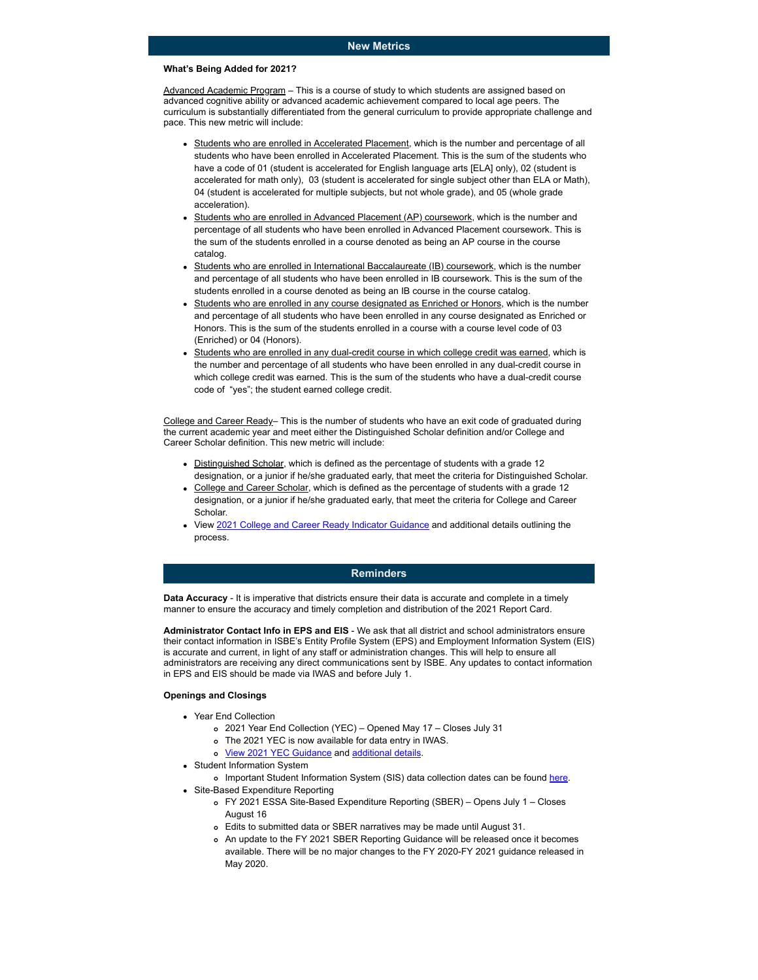#### **What's Being Added for 2021?**

Advanced Academic Program – This is a course of study to which students are assigned based on advanced cognitive ability or advanced academic achievement compared to local age peers. The curriculum is substantially differentiated from the general curriculum to provide appropriate challenge and pace. This new metric will include:

- Students who are enrolled in Accelerated Placement, which is the number and percentage of all students who have been enrolled in Accelerated Placement. This is the sum of the students who have a code of 01 (student is accelerated for English language arts [ELA] only), 02 (student is accelerated for math only), 03 (student is accelerated for single subject other than ELA or Math), 04 (student is accelerated for multiple subjects, but not whole grade), and 05 (whole grade acceleration).
- Students who are enrolled in Advanced Placement (AP) coursework, which is the number and percentage of all students who have been enrolled in Advanced Placement coursework. This is the sum of the students enrolled in a course denoted as being an AP course in the course catalog.
- Students who are enrolled in International Baccalaureate (IB) coursework, which is the number and percentage of all students who have been enrolled in IB coursework. This is the sum of the students enrolled in a course denoted as being an IB course in the course catalog.
- Students who are enrolled in any course designated as Enriched or Honors, which is the number and percentage of all students who have been enrolled in any course designated as Enriched or Honors. This is the sum of the students enrolled in a course with a course level code of 03 (Enriched) or 04 (Honors).
- Students who are enrolled in any dual-credit course in which college credit was earned, which is the number and percentage of all students who have been enrolled in any dual-credit course in which college credit was earned. This is the sum of the students who have a dual-credit course code of "yes"; the student earned college credit.

College and Career Ready– This is the number of students who have an exit code of graduated during the current academic year and meet either the Distinguished Scholar definition and/or College and Career Scholar definition. This new metric will include:

- Distinguished Scholar, which is defined as the percentage of students with a grade 12 designation, or a junior if he/she graduated early, that meet the criteria for Distinguished Scholar.
- College and Career Scholar, which is defined as the percentage of students with a grade 12 designation, or a junior if he/she graduated early, that meet the criteria for College and Career **Scholar**
- View [2021 College and Career Ready Indicator Guidance](http://link.isbe.net/c/6/?T=OTAyMDg4NDQ%3AMDItYjIxMTM4LTM1Zjg2N2M2NjRiZTQzZTFiOThjMmZjNTgyN2I0NmVl%3AbXdlaXNzQGlzYmUubmV0%3AY29udGFjdC1iMjZmOTQ3N2JiZjZlYTExYTgxNTAwMGQzYTMyODEyOS1hZGY2NDc0NjQxNDY0ZmRiODlhYzg4ZTNmOWQ3M2ZiNA%3AdHJ1ZQ%3AMg%3A%3AaHR0cHM6Ly93d3cuaXNiZS5uZXQvRG9jdW1lbnRzL0NDUkktR3VpZGFuY2UucGRmP19jbGRlZT1iWGRsYVhOelFHbHpZbVV1Ym1WMCZyZWNpcGllbnRpZD1jb250YWN0LWIyNmY5NDc3YmJmNmVhMTFhODE1MDAwZDNhMzI4MTI5LWFkZjY0NzQ2NDE0NjRmZGI4OWFjODhlM2Y5ZDczZmI0JmVzaWQ9YmNmZWI1MDMtZTNiNy1lYjExLTgyMzYtMDAwZDNhNWE1NThl&K=4McCuSJou6XX6SRXrctQ1g) and additional details outlining the process.

### **Reminders**

**Data Accuracy** - It is imperative that districts ensure their data is accurate and complete in a timely manner to ensure the accuracy and timely completion and distribution of the 2021 Report Card.

**Administrator Contact Info in EPS and EIS** - We ask that all district and school administrators ensure their contact information in ISBE's Entity Profile System (EPS) and Employment Information System (EIS) is accurate and current, in light of any staff or administration changes. This will help to ensure all administrators are receiving any direct communications sent by ISBE. Any updates to contact information in EPS and EIS should be made via IWAS and before July 1.

# **Openings and Closings**

- Year End Collection
	- 2021 Year End Collection (YEC) Opened May 17 Closes July 31
	- The 2021 YEC is now available for data entry in IWAS.
	- o View 2021 YEC Guidance and additional details.
- Student Information System

o Important Student Information System (SIS) data collection dates can be found here.

- Site-Based Expenditure Reporting
	- FY 2021 ESSA Site-Based Expenditure Reporting (SBER) Opens July 1 Closes August 16
	- Edits to submitted data or SBER narratives may be made until August 31.
	- An update to the FY 2021 SBER Reporting Guidance will be released once it becomes available. There will be no major changes to the FY 2020-FY 2021 guidance released in May 2020.